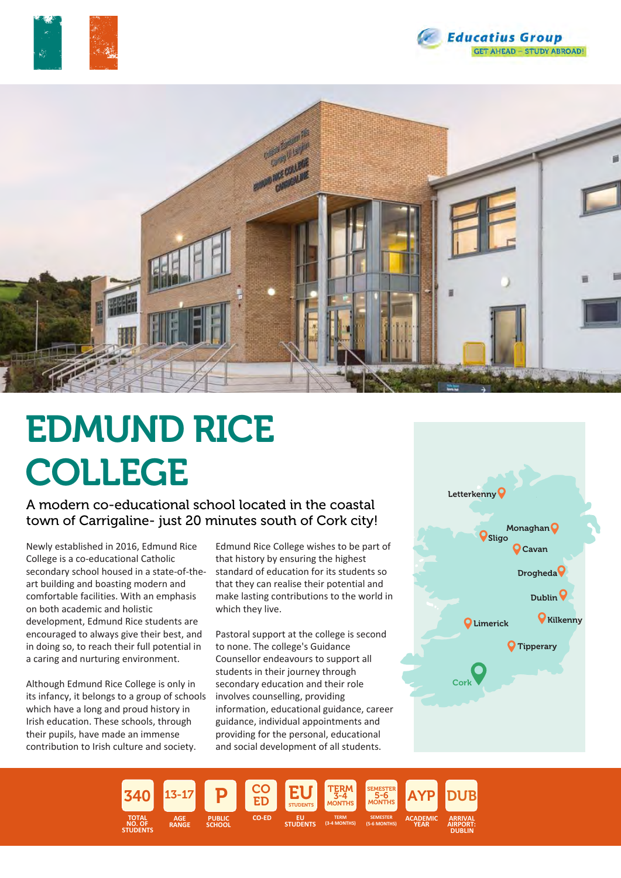





# EDMUND RICE COLLEGE

A modern co-educational school located in the coastal town of Carrigaline- just 20 minutes south of Cork city!

Newly established in 2016, Edmund Rice College is a co-educational Catholic secondary school housed in a state-of-theart building and boasting modern and comfortable facilities. With an emphasis on both academic and holistic development, Edmund Rice students are encouraged to always give their best, and in doing so, to reach their full potential in a caring and nurturing environment.

Although Edmund Rice College is only in its infancy, it belongs to a group of schools which have a long and proud history in Irish education. These schools, through their pupils, have made an immense contribution to Irish culture and society.

Edmund Rice College wishes to be part of that history by ensuring the highest standard of education for its students so that they can realise their potential and make lasting contributions to the world in which they live.

Pastoral support at the college is second to none. The college's Guidance Counsellor endeavours to support all students in their journey through secondary education and their role involves counselling, providing information, educational guidance, career guidance, individual appointments and providing for the personal, educational and social development of all students.



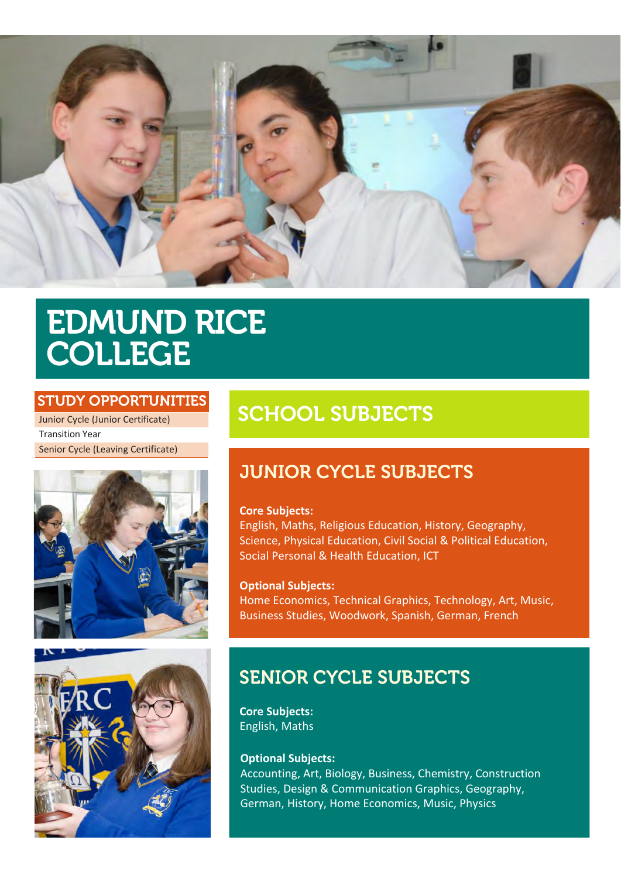

## EDMUND RICE COLLEGE

#### STUDY OPPORTUNITIES

Junior Cycle (Junior Certificate) Transition Year Senior Cycle (Leaving Certificate)





## SCHOOL SUBJECTS

## JUNIOR CYCLE SUBJECTS

#### **Core Subjects:**

English, Maths, Religious Education, History, Geography, Science, Physical Education, Civil Social & Political Education, Social Personal & Health Education, ICT

**Optional Subjects:** Home Economics, Technical Graphics, Technology, Art, Music, Business Studies, Woodwork, Spanish, German, French

## SENIOR CYCLE SUBJECTS

**Core Subjects:** English, Maths

#### **Optional Subjects:**

Accounting, Art, Biology, Business, Chemistry, Construction Studies, Design & Communication Graphics, Geography, German, History, Home Economics, Music, Physics